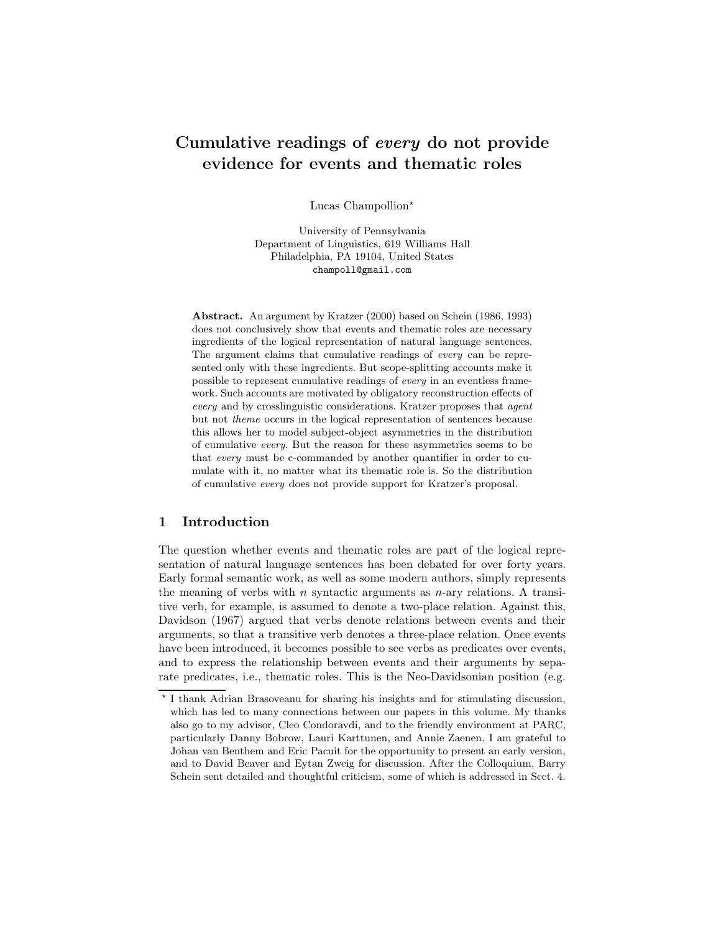# Cumulative readings of every do not provide evidence for events and thematic roles

Lucas Champollion<sup>\*</sup>

University of Pennsylvania Department of Linguistics, 619 Williams Hall Philadelphia, PA 19104, United States champoll@gmail.com

Abstract. An argument by Kratzer (2000) based on Schein (1986, 1993) does not conclusively show that events and thematic roles are necessary ingredients of the logical representation of natural language sentences. The argument claims that cumulative readings of every can be represented only with these ingredients. But scope-splitting accounts make it possible to represent cumulative readings of every in an eventless framework. Such accounts are motivated by obligatory reconstruction effects of every and by crosslinguistic considerations. Kratzer proposes that agent but not theme occurs in the logical representation of sentences because this allows her to model subject-object asymmetries in the distribution of cumulative every. But the reason for these asymmetries seems to be that every must be c-commanded by another quantifier in order to cumulate with it, no matter what its thematic role is. So the distribution of cumulative every does not provide support for Kratzer's proposal.

# 1 Introduction

The question whether events and thematic roles are part of the logical representation of natural language sentences has been debated for over forty years. Early formal semantic work, as well as some modern authors, simply represents the meaning of verbs with n syntactic arguments as  $n$ -ary relations. A transitive verb, for example, is assumed to denote a two-place relation. Against this, Davidson (1967) argued that verbs denote relations between events and their arguments, so that a transitive verb denotes a three-place relation. Once events have been introduced, it becomes possible to see verbs as predicates over events, and to express the relationship between events and their arguments by separate predicates, i.e., thematic roles. This is the Neo-Davidsonian position (e.g.

<sup>⋆</sup> I thank Adrian Brasoveanu for sharing his insights and for stimulating discussion, which has led to many connections between our papers in this volume. My thanks also go to my advisor, Cleo Condoravdi, and to the friendly environment at PARC, particularly Danny Bobrow, Lauri Karttunen, and Annie Zaenen. I am grateful to Johan van Benthem and Eric Pacuit for the opportunity to present an early version, and to David Beaver and Eytan Zweig for discussion. After the Colloquium, Barry Schein sent detailed and thoughtful criticism, some of which is addressed in Sect. 4.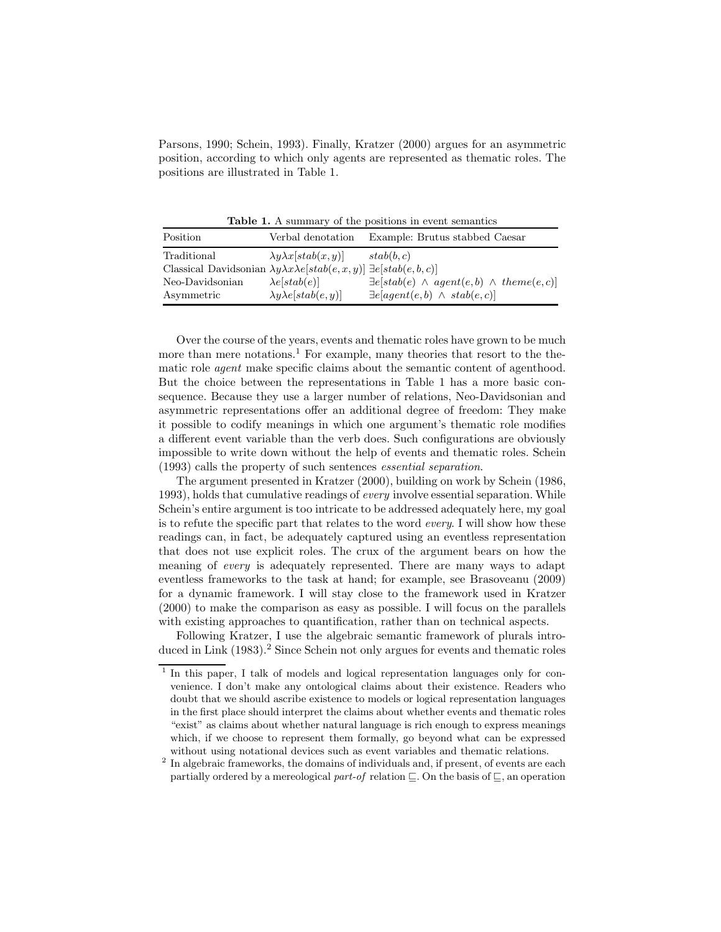Parsons, 1990; Schein, 1993). Finally, Kratzer (2000) argues for an asymmetric position, according to which only agents are represented as thematic roles. The positions are illustrated in Table 1.

Position Verbal denotation Example: Brutus stabbed Caesar Traditional  $\lambda y \lambda x[stab(x, y)]$   $stab(b, c)$ Classical Davidsonian  $\lambda y \lambda x \lambda e[stab(e, x, y)]$  ∃e[stab(e, b, c)] Neo-Davidsonian  $\lambda e[stab(e)]$   $\exists e[stab(e) \wedge agent(e, b) \wedge them(e, c)]$ Asymmetric  $\lambda y \lambda e[stab(e, y)]$   $\exists e[agent(e, b) \wedge stab(e, c)]$ 

Table 1. A summary of the positions in event semantics

Over the course of the years, events and thematic roles have grown to be much more than mere notations.<sup>1</sup> For example, many theories that resort to the thematic role *agent* make specific claims about the semantic content of agenthood. But the choice between the representations in Table 1 has a more basic consequence. Because they use a larger number of relations, Neo-Davidsonian and asymmetric representations offer an additional degree of freedom: They make it possible to codify meanings in which one argument's thematic role modifies a different event variable than the verb does. Such configurations are obviously impossible to write down without the help of events and thematic roles. Schein (1993) calls the property of such sentences *essential separation*.

The argument presented in Kratzer (2000), building on work by Schein (1986, 1993), holds that cumulative readings of *every* involve essential separation. While Schein's entire argument is too intricate to be addressed adequately here, my goal is to refute the specific part that relates to the word *every*. I will show how these readings can, in fact, be adequately captured using an eventless representation that does not use explicit roles. The crux of the argument bears on how the meaning of *every* is adequately represented. There are many ways to adapt eventless frameworks to the task at hand; for example, see Brasoveanu (2009) for a dynamic framework. I will stay close to the framework used in Kratzer (2000) to make the comparison as easy as possible. I will focus on the parallels with existing approaches to quantification, rather than on technical aspects.

Following Kratzer, I use the algebraic semantic framework of plurals introduced in Link (1983).<sup>2</sup> Since Schein not only argues for events and thematic roles

<sup>&</sup>lt;sup>1</sup> In this paper, I talk of models and logical representation languages only for convenience. I don't make any ontological claims about their existence. Readers who doubt that we should ascribe existence to models or logical representation languages in the first place should interpret the claims about whether events and thematic roles "exist" as claims about whether natural language is rich enough to express meanings which, if we choose to represent them formally, go beyond what can be expressed without using notational devices such as event variables and thematic relations.

<sup>&</sup>lt;sup>2</sup> In algebraic frameworks, the domains of individuals and, if present, of events are each partially ordered by a mereological part-of relation  $\subseteq$ . On the basis of  $\subseteq$ , an operation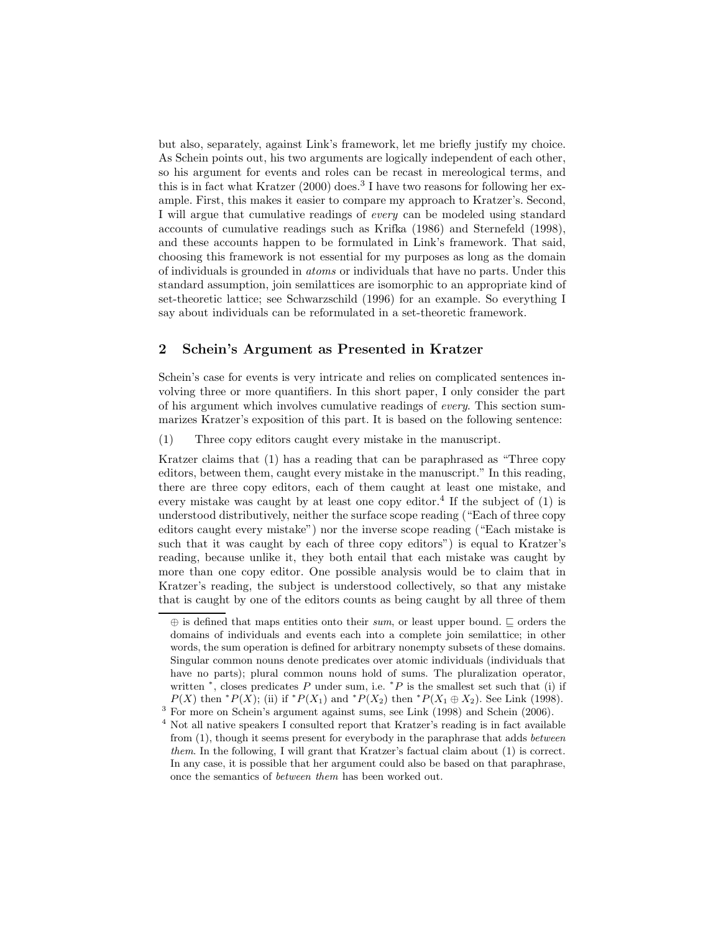but also, separately, against Link's framework, let me briefly justify my choice. As Schein points out, his two arguments are logically independent of each other, so his argument for events and roles can be recast in mereological terms, and this is in fact what Kratzer (2000) does.<sup>3</sup> I have two reasons for following her example. First, this makes it easier to compare my approach to Kratzer's. Second, I will argue that cumulative readings of *every* can be modeled using standard accounts of cumulative readings such as Krifka (1986) and Sternefeld (1998), and these accounts happen to be formulated in Link's framework. That said, choosing this framework is not essential for my purposes as long as the domain of individuals is grounded in *atoms* or individuals that have no parts. Under this standard assumption, join semilattices are isomorphic to an appropriate kind of set-theoretic lattice; see Schwarzschild (1996) for an example. So everything I say about individuals can be reformulated in a set-theoretic framework.

# 2 Schein's Argument as Presented in Kratzer

Schein's case for events is very intricate and relies on complicated sentences involving three or more quantifiers. In this short paper, I only consider the part of his argument which involves cumulative readings of *every*. This section summarizes Kratzer's exposition of this part. It is based on the following sentence:

(1) Three copy editors caught every mistake in the manuscript.

Kratzer claims that (1) has a reading that can be paraphrased as "Three copy editors, between them, caught every mistake in the manuscript." In this reading, there are three copy editors, each of them caught at least one mistake, and every mistake was caught by at least one copy editor.<sup>4</sup> If the subject of  $(1)$  is understood distributively, neither the surface scope reading ("Each of three copy editors caught every mistake") nor the inverse scope reading ("Each mistake is such that it was caught by each of three copy editors") is equal to Kratzer's reading, because unlike it, they both entail that each mistake was caught by more than one copy editor. One possible analysis would be to claim that in Kratzer's reading, the subject is understood collectively, so that any mistake that is caught by one of the editors counts as being caught by all three of them

 $\oplus$  is defined that maps entities onto their sum, or least upper bound.  $\sqsubset$  orders the domains of individuals and events each into a complete join semilattice; in other words, the sum operation is defined for arbitrary nonempty subsets of these domains. Singular common nouns denote predicates over atomic individuals (individuals that have no parts); plural common nouns hold of sums. The pluralization operator, written  $\overline{\cdot}$ , closes predicates P under sum, i.e.  $\overline{\cdot}$  P is the smallest set such that (i) if  $P(X)$  then \* $P(X)$ ; (ii) if \* $P(X_1)$  and \* $P(X_2)$  then \* $P(X_1 \oplus X_2)$ . See Link (1998). <sup>3</sup> For more on Schein's argument against sums, see Link (1998) and Schein (2006).

<sup>4</sup> Not all native speakers I consulted report that Kratzer's reading is in fact available from (1), though it seems present for everybody in the paraphrase that adds between them. In the following, I will grant that Kratzer's factual claim about (1) is correct. In any case, it is possible that her argument could also be based on that paraphrase, once the semantics of between them has been worked out.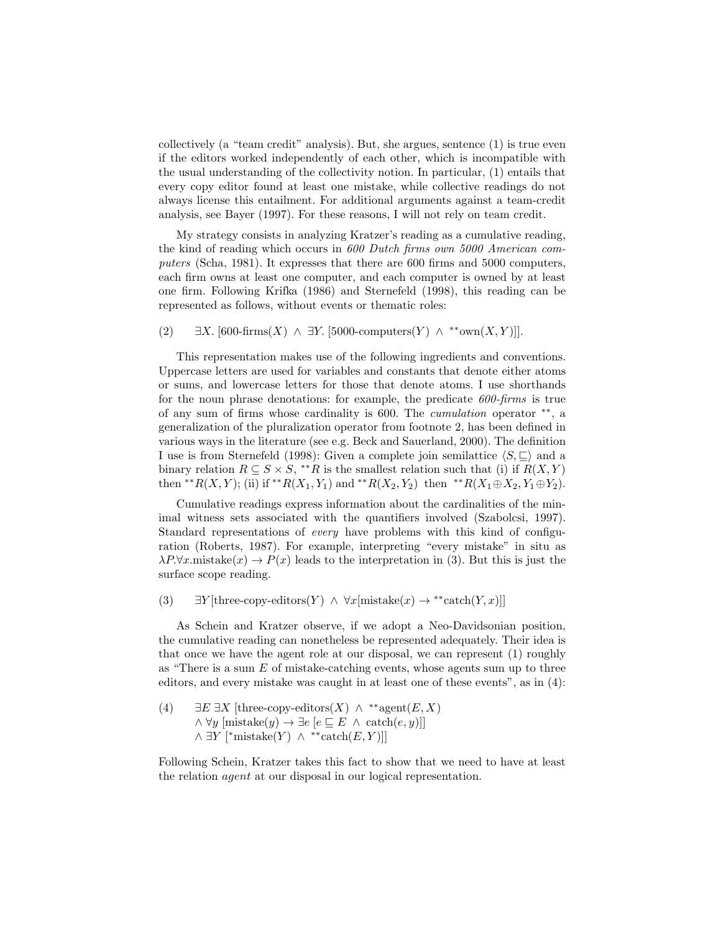collectively (a "team credit" analysis). But, she argues, sentence (1) is true even if the editors worked independently of each other, which is incompatible with the usual understanding of the collectivity notion. In particular, (1) entails that every copy editor found at least one mistake, while collective readings do not always license this entailment. For additional arguments against a team-credit analysis, see Bayer (1997). For these reasons, I will not rely on team credit.

My strategy consists in analyzing Kratzer's reading as a cumulative reading, the kind of reading which occurs in *600 Dutch firms own 5000 American computers* (Scha, 1981). It expresses that there are 600 firms and 5000 computers, each firm owns at least one computer, and each computer is owned by at least one firm. Following Krifka (1986) and Sternefeld (1998), this reading can be represented as follows, without events or thematic roles:

(2)  $\exists X. [600\text{-}forms(X) \land \exists Y. [5000\text{-}computers(Y) \land {}^{**}\text{own}(X,Y)]].$ 

This representation makes use of the following ingredients and conventions. Uppercase letters are used for variables and constants that denote either atoms or sums, and lowercase letters for those that denote atoms. I use shorthands for the noun phrase denotations: for example, the predicate *600-firms* is true of any sum of firms whose cardinality is 600. The *cumulation* operator ∗∗, a generalization of the pluralization operator from footnote 2, has been defined in various ways in the literature (see e.g. Beck and Sauerland, 2000). The definition I use is from Sternefeld (1998): Given a complete join semilattice  $\langle S, \sqsubset \rangle$  and a binary relation  $R \subseteq S \times S$ , \*\*R is the smallest relation such that (i) if  $R(X,Y)$ then \*\* $R(X, Y)$ ; (ii) if \*\* $R(X_1, Y_1)$  and \*\* $R(X_2, Y_2)$  then \*\* $R(X_1 \oplus X_2, Y_1 \oplus Y_2)$ .

Cumulative readings express information about the cardinalities of the minimal witness sets associated with the quantifiers involved (Szabolcsi, 1997). Standard representations of *every* have problems with this kind of configuration (Roberts, 1987). For example, interpreting "every mistake" in situ as  $\lambda P \forall x$  mistake $(x) \rightarrow P(x)$  leads to the interpretation in (3). But this is just the surface scope reading.

(3)  $\exists Y [\text{three-copy-editors}(Y) \land \forall x [\text{mistake}(x) \to {^{**}} \text{catch}(Y, x)]]$ 

As Schein and Kratzer observe, if we adopt a Neo-Davidsonian position, the cumulative reading can nonetheless be represented adequately. Their idea is that once we have the agent role at our disposal, we can represent (1) roughly as "There is a sum  $E$  of mistake-catching events, whose agents sum up to three editors, and every mistake was caught in at least one of these events", as in (4):

(4)  $\exists E \exists X \text{ [three-copy-editors}(X) \land \text{**agent}(E, X)$  $\land \forall y$  [mistake(y)  $\to \exists e \ [e \sqsubseteq E \land \text{catch}(e, y)]$ ]  $\land \exists Y$  [\*mistake $(Y)$   $\land$  \*\*catch $(E, Y)$ ]]

Following Schein, Kratzer takes this fact to show that we need to have at least the relation agent at our disposal in our logical representation.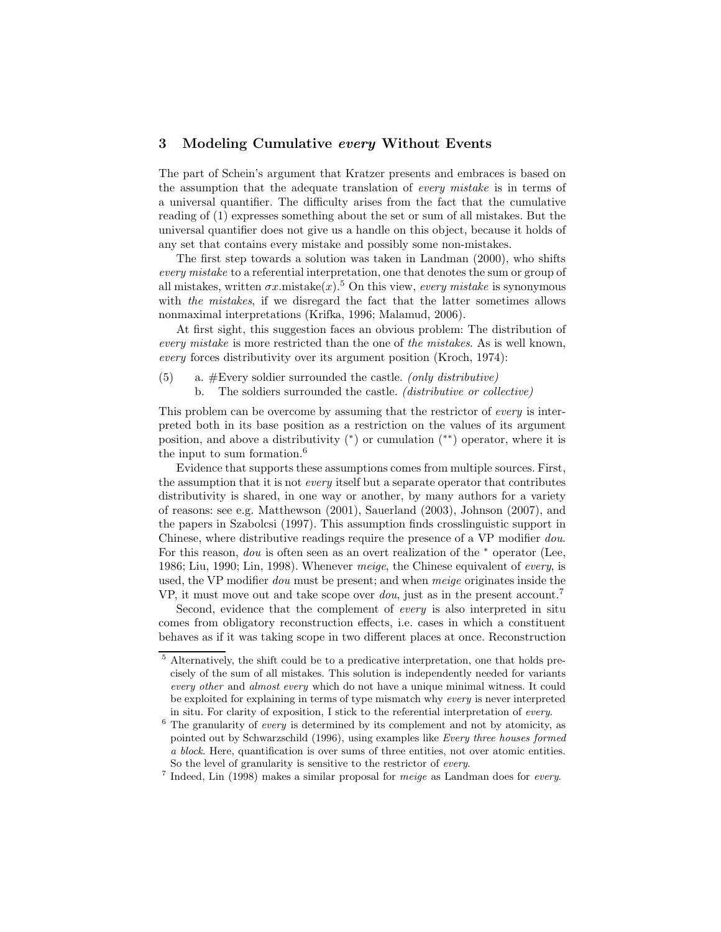# 3 Modeling Cumulative every Without Events

The part of Schein's argument that Kratzer presents and embraces is based on the assumption that the adequate translation of *every mistake* is in terms of a universal quantifier. The difficulty arises from the fact that the cumulative reading of (1) expresses something about the set or sum of all mistakes. But the universal quantifier does not give us a handle on this object, because it holds of any set that contains every mistake and possibly some non-mistakes.

The first step towards a solution was taken in Landman (2000), who shifts *every mistake* to a referential interpretation, one that denotes the sum or group of all mistakes, written  $\sigma x$ .mistake $(x)$ .<sup>5</sup> On this view, *every mistake* is synonymous with *the mistakes*, if we disregard the fact that the latter sometimes allows nonmaximal interpretations (Krifka, 1996; Malamud, 2006).

At first sight, this suggestion faces an obvious problem: The distribution of *every mistake* is more restricted than the one of *the mistakes*. As is well known, *every* forces distributivity over its argument position (Kroch, 1974):

- (5) a. #Every soldier surrounded the castle. *(only distributive)*
	- b. The soldiers surrounded the castle. *(distributive or collective)*

This problem can be overcome by assuming that the restrictor of *every* is interpreted both in its base position as a restriction on the values of its argument position, and above a distributivity (<sup>∗</sup> ) or cumulation (∗∗) operator, where it is the input to sum formation.<sup>6</sup>

Evidence that supports these assumptions comes from multiple sources. First, the assumption that it is not *every* itself but a separate operator that contributes distributivity is shared, in one way or another, by many authors for a variety of reasons: see e.g. Matthewson (2001), Sauerland (2003), Johnson (2007), and the papers in Szabolcsi (1997). This assumption finds crosslinguistic support in Chinese, where distributive readings require the presence of a VP modifier *dou*. For this reason, *dou* is often seen as an overt realization of the <sup>∗</sup> operator (Lee, 1986; Liu, 1990; Lin, 1998). Whenever *meige*, the Chinese equivalent of *every*, is used, the VP modifier *dou* must be present; and when *meige* originates inside the VP, it must move out and take scope over *dou*, just as in the present account.<sup>7</sup>

Second, evidence that the complement of *every* is also interpreted in situ comes from obligatory reconstruction effects, i.e. cases in which a constituent behaves as if it was taking scope in two different places at once. Reconstruction

 $^7$  Indeed, Lin (1998) makes a similar proposal for *meige* as Landman does for *every*.

<sup>5</sup> Alternatively, the shift could be to a predicative interpretation, one that holds precisely of the sum of all mistakes. This solution is independently needed for variants every other and almost every which do not have a unique minimal witness. It could be exploited for explaining in terms of type mismatch why every is never interpreted in situ. For clarity of exposition, I stick to the referential interpretation of every.

 $6$  The granularity of *every* is determined by its complement and not by atomicity, as pointed out by Schwarzschild (1996), using examples like Every three houses formed a block. Here, quantification is over sums of three entities, not over atomic entities. So the level of granularity is sensitive to the restrictor of every.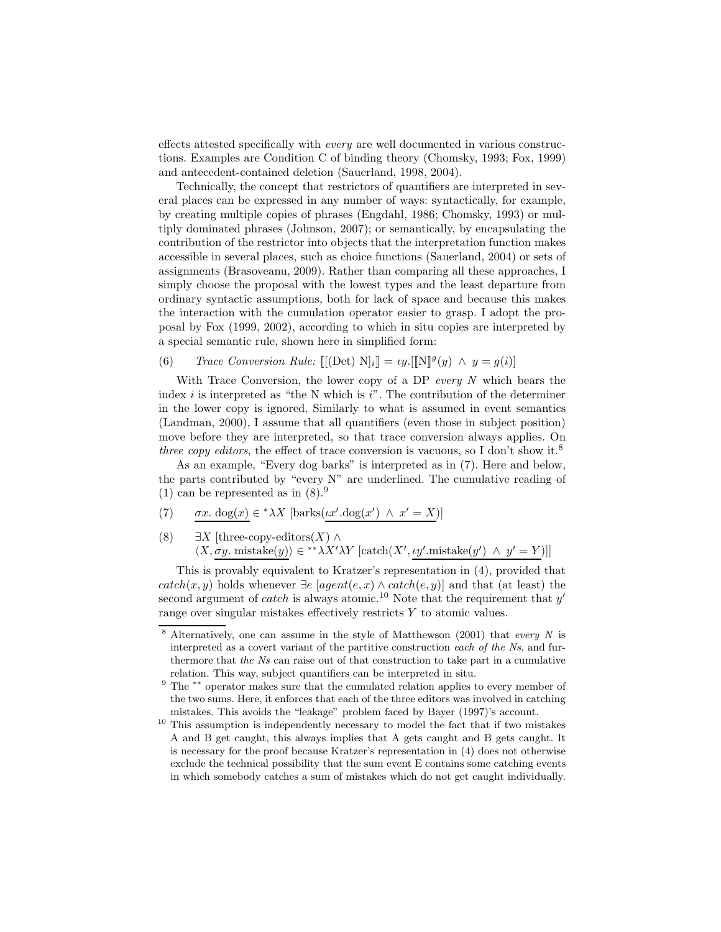effects attested specifically with *every* are well documented in various constructions. Examples are Condition C of binding theory (Chomsky, 1993; Fox, 1999) and antecedent-contained deletion (Sauerland, 1998, 2004).

Technically, the concept that restrictors of quantifiers are interpreted in several places can be expressed in any number of ways: syntactically, for example, by creating multiple copies of phrases (Engdahl, 1986; Chomsky, 1993) or multiply dominated phrases (Johnson, 2007); or semantically, by encapsulating the contribution of the restrictor into objects that the interpretation function makes accessible in several places, such as choice functions (Sauerland, 2004) or sets of assignments (Brasoveanu, 2009). Rather than comparing all these approaches, I simply choose the proposal with the lowest types and the least departure from ordinary syntactic assumptions, both for lack of space and because this makes the interaction with the cumulation operator easier to grasp. I adopt the proposal by Fox (1999, 2002), according to which in situ copies are interpreted by a special semantic rule, shown here in simplified form:

(6) *Trace Conversion Rule:*  $[[(\text{Det}) \ N]_i] = \iota y$ .  $[[N]^g(y) \land y = g(i)]$ 

With Trace Conversion, the lower copy of a DP *every N* which bears the index  $i$  is interpreted as "the N which is  $i$ ". The contribution of the determiner in the lower copy is ignored. Similarly to what is assumed in event semantics (Landman, 2000), I assume that all quantifiers (even those in subject position) move before they are interpreted, so that trace conversion always applies. On *three copy editors*, the effect of trace conversion is vacuous, so I don't show it.<sup>8</sup>

As an example, "Every dog barks" is interpreted as in (7). Here and below, the parts contributed by "every N" are underlined. The cumulative reading of (1) can be represented as in  $(8).<sup>9</sup>$ 

- (7)  $\sigma x. \deg(x) \in {^*}\lambda X$  [barks( $\iota x'.\deg(x') \wedge x' = X$ ]]
- (8)  $\exists X$  [three-copy-editors(X) ∧  $\langle X, \sigma y \rangle$ . mistake $(y) \rangle \in$ \*\* $\lambda X' \lambda Y$  [catch $(X', \iota y'$ .mistake $(y') \wedge y' = Y$ ]]]

This is provably equivalent to Kratzer's representation in (4), provided that catch(x, y) holds whenever  $\exists e \left[ agent(e, x) \land catch(e, y) \right]$  and that (at least) the second argument of *catch* is always atomic.<sup>10</sup> Note that the requirement that  $y'$ range over singular mistakes effectively restricts  $Y$  to atomic values.

 $8$  Alternatively, one can assume in the style of Matthewson (2001) that every N is interpreted as a covert variant of the partitive construction each of the Ns, and furthermore that the Ns can raise out of that construction to take part in a cumulative relation. This way, subject quantifiers can be interpreted in situ.

 $9$  The  $**$  operator makes sure that the cumulated relation applies to every member of the two sums. Here, it enforces that each of the three editors was involved in catching mistakes. This avoids the "leakage" problem faced by Bayer (1997)'s account.

 $10$  This assumption is independently necessary to model the fact that if two mistakes A and B get caught, this always implies that A gets caught and B gets caught. It is necessary for the proof because Kratzer's representation in (4) does not otherwise exclude the technical possibility that the sum event E contains some catching events in which somebody catches a sum of mistakes which do not get caught individually.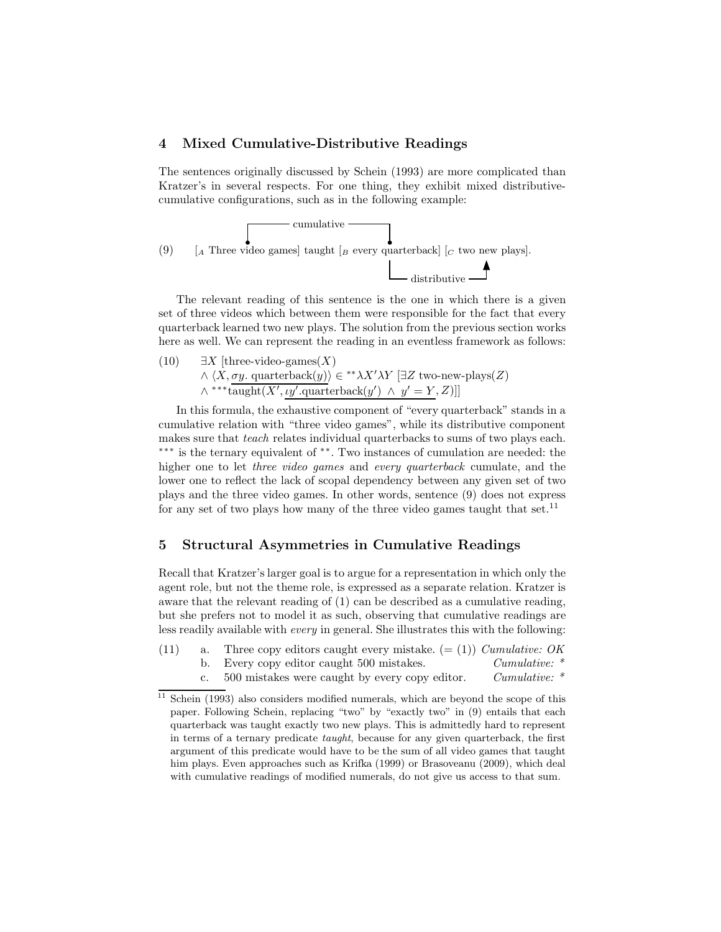#### 4 Mixed Cumulative-Distributive Readings

The sentences originally discussed by Schein (1993) are more complicated than Kratzer's in several respects. For one thing, they exhibit mixed distributivecumulative configurations, such as in the following example:



The relevant reading of this sentence is the one in which there is a given set of three videos which between them were responsible for the fact that every quarterback learned two new plays. The solution from the previous section works here as well. We can represent the reading in an eventless framework as follows:

(10) 
$$
\exists X
$$
 [three-video-games(X)  
 $\wedge \langle X, \underline{\sigma y}$ . quarterback(y) $\rangle \in {}^{**}\lambda X'\lambda Y$  [ $\exists Z$  two-new-plays(Z)  
 $\wedge {}^{***}t$ aught(X',  $uy'$ .quarterback(y')  $\wedge y' = Y, Z$ )]]

In this formula, the exhaustive component of "every quarterback" stands in a cumulative relation with "three video games", while its distributive component makes sure that *teach* relates individual quarterbacks to sums of two plays each. ∗∗∗ is the ternary equivalent of ∗∗. Two instances of cumulation are needed: the higher one to let *three video games* and *every quarterback* cumulate, and the lower one to reflect the lack of scopal dependency between any given set of two plays and the three video games. In other words, sentence (9) does not express for any set of two plays how many of the three video games taught that set.<sup>11</sup>

#### 5 Structural Asymmetries in Cumulative Readings

Recall that Kratzer's larger goal is to argue for a representation in which only the agent role, but not the theme role, is expressed as a separate relation. Kratzer is aware that the relevant reading of (1) can be described as a cumulative reading, but she prefers not to model it as such, observing that cumulative readings are less readily available with *every* in general. She illustrates this with the following:

- (11) a. Three copy editors caught every mistake. (= (1)) *Cumulative: OK*
	- b. Every copy editor caught 500 mistakes. *Cumulative: \**
	- c. 500 mistakes were caught by every copy editor. *Cumulative: \**

 $11$  Schein (1993) also considers modified numerals, which are beyond the scope of this paper. Following Schein, replacing "two" by "exactly two" in (9) entails that each quarterback was taught exactly two new plays. This is admittedly hard to represent in terms of a ternary predicate taught, because for any given quarterback, the first argument of this predicate would have to be the sum of all video games that taught him plays. Even approaches such as Krifka (1999) or Brasoveanu (2009), which deal with cumulative readings of modified numerals, do not give us access to that sum.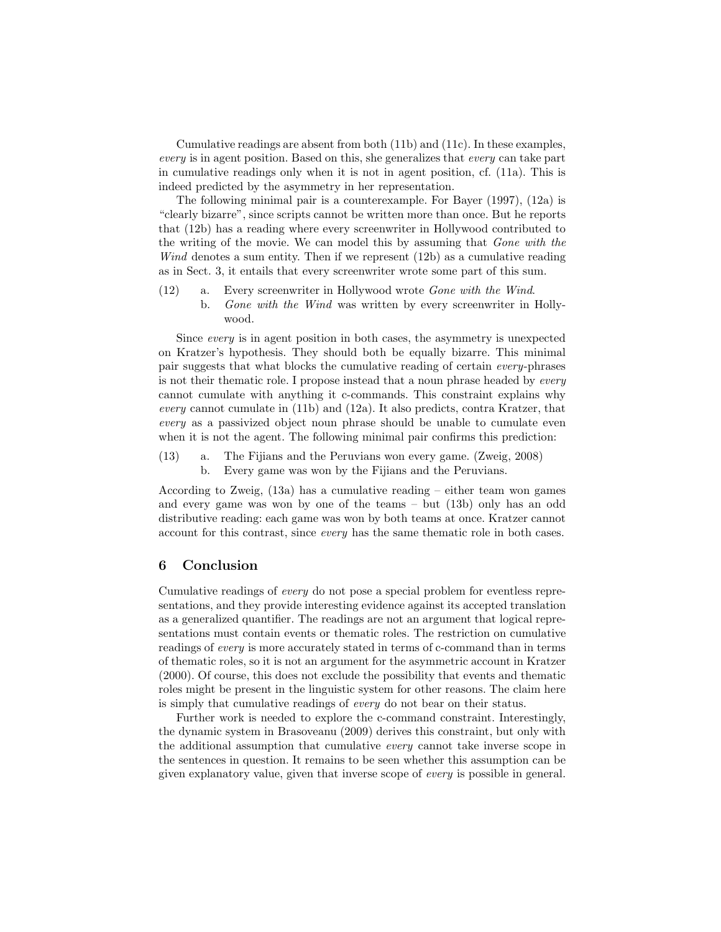Cumulative readings are absent from both (11b) and (11c). In these examples, *every* is in agent position. Based on this, she generalizes that *every* can take part in cumulative readings only when it is not in agent position, cf. (11a). This is indeed predicted by the asymmetry in her representation.

The following minimal pair is a counterexample. For Bayer (1997), (12a) is "clearly bizarre", since scripts cannot be written more than once. But he reports that (12b) has a reading where every screenwriter in Hollywood contributed to the writing of the movie. We can model this by assuming that *Gone with the Wind* denotes a sum entity. Then if we represent (12b) as a cumulative reading as in Sect. 3, it entails that every screenwriter wrote some part of this sum.

(12) a. Every screenwriter in Hollywood wrote *Gone with the Wind*. b. *Gone with the Wind* was written by every screenwriter in Hollywood.

Since *every* is in agent position in both cases, the asymmetry is unexpected on Kratzer's hypothesis. They should both be equally bizarre. This minimal pair suggests that what blocks the cumulative reading of certain *every*-phrases is not their thematic role. I propose instead that a noun phrase headed by *every* cannot cumulate with anything it c-commands. This constraint explains why *every* cannot cumulate in (11b) and (12a). It also predicts, contra Kratzer, that *every* as a passivized object noun phrase should be unable to cumulate even when it is not the agent. The following minimal pair confirms this prediction:

(13) a. The Fijians and the Peruvians won every game. (Zweig, 2008) b. Every game was won by the Fijians and the Peruvians.

According to Zweig, (13a) has a cumulative reading – either team won games and every game was won by one of the teams – but (13b) only has an odd distributive reading: each game was won by both teams at once. Kratzer cannot account for this contrast, since *every* has the same thematic role in both cases.

## 6 Conclusion

Cumulative readings of *every* do not pose a special problem for eventless representations, and they provide interesting evidence against its accepted translation as a generalized quantifier. The readings are not an argument that logical representations must contain events or thematic roles. The restriction on cumulative readings of *every* is more accurately stated in terms of c-command than in terms of thematic roles, so it is not an argument for the asymmetric account in Kratzer (2000). Of course, this does not exclude the possibility that events and thematic roles might be present in the linguistic system for other reasons. The claim here is simply that cumulative readings of *every* do not bear on their status.

Further work is needed to explore the c-command constraint. Interestingly, the dynamic system in Brasoveanu (2009) derives this constraint, but only with the additional assumption that cumulative *every* cannot take inverse scope in the sentences in question. It remains to be seen whether this assumption can be given explanatory value, given that inverse scope of *every* is possible in general.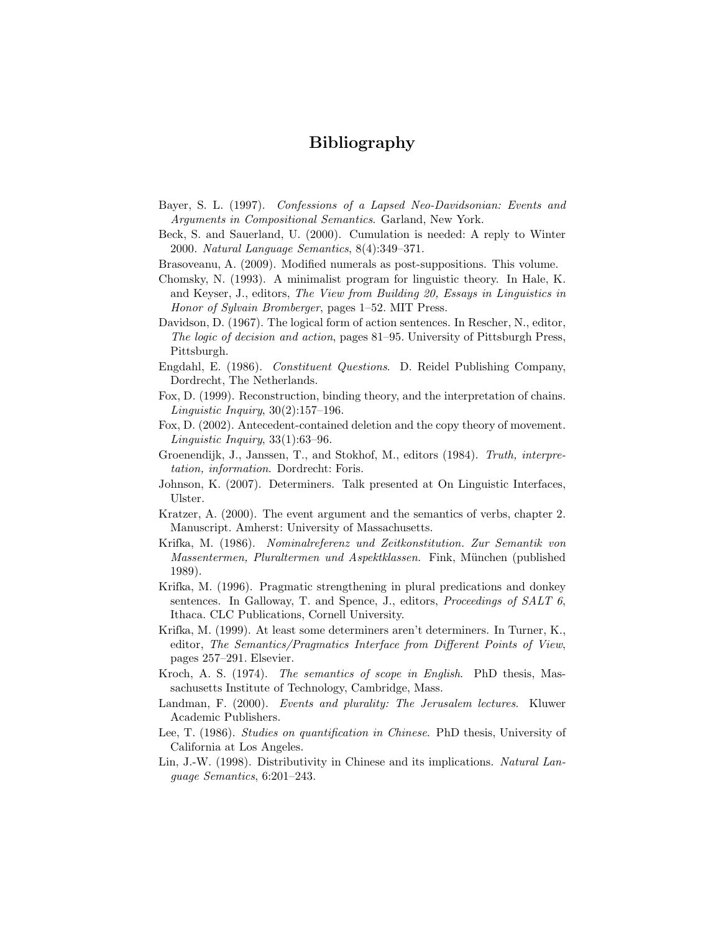# Bibliography

- Bayer, S. L. (1997). *Confessions of a Lapsed Neo-Davidsonian: Events and Arguments in Compositional Semantics*. Garland, New York.
- Beck, S. and Sauerland, U. (2000). Cumulation is needed: A reply to Winter 2000. *Natural Language Semantics*, 8(4):349–371.
- Brasoveanu, A. (2009). Modified numerals as post-suppositions. This volume.
- Chomsky, N. (1993). A minimalist program for linguistic theory. In Hale, K. and Keyser, J., editors, *The View from Building 20, Essays in Linguistics in Honor of Sylvain Bromberger*, pages 1–52. MIT Press.
- Davidson, D. (1967). The logical form of action sentences. In Rescher, N., editor, *The logic of decision and action*, pages 81–95. University of Pittsburgh Press, Pittsburgh.
- Engdahl, E. (1986). *Constituent Questions*. D. Reidel Publishing Company, Dordrecht, The Netherlands.
- Fox, D. (1999). Reconstruction, binding theory, and the interpretation of chains. *Linguistic Inquiry*, 30(2):157–196.
- Fox, D. (2002). Antecedent-contained deletion and the copy theory of movement. *Linguistic Inquiry*, 33(1):63–96.
- Groenendijk, J., Janssen, T., and Stokhof, M., editors (1984). *Truth, interpretation, information*. Dordrecht: Foris.
- Johnson, K. (2007). Determiners. Talk presented at On Linguistic Interfaces, Ulster.
- Kratzer, A. (2000). The event argument and the semantics of verbs, chapter 2. Manuscript. Amherst: University of Massachusetts.
- Krifka, M. (1986). *Nominalreferenz und Zeitkonstitution. Zur Semantik von Massentermen, Pluraltermen und Aspektklassen*. Fink, M¨unchen (published 1989).
- Krifka, M. (1996). Pragmatic strengthening in plural predications and donkey sentences. In Galloway, T. and Spence, J., editors, *Proceedings of SALT 6*, Ithaca. CLC Publications, Cornell University.
- Krifka, M. (1999). At least some determiners aren't determiners. In Turner, K., editor, *The Semantics/Pragmatics Interface from Different Points of View*, pages 257–291. Elsevier.
- Kroch, A. S. (1974). *The semantics of scope in English*. PhD thesis, Massachusetts Institute of Technology, Cambridge, Mass.
- Landman, F. (2000). *Events and plurality: The Jerusalem lectures*. Kluwer Academic Publishers.
- Lee, T. (1986). *Studies on quantification in Chinese*. PhD thesis, University of California at Los Angeles.
- Lin, J.-W. (1998). Distributivity in Chinese and its implications. *Natural Language Semantics*, 6:201–243.